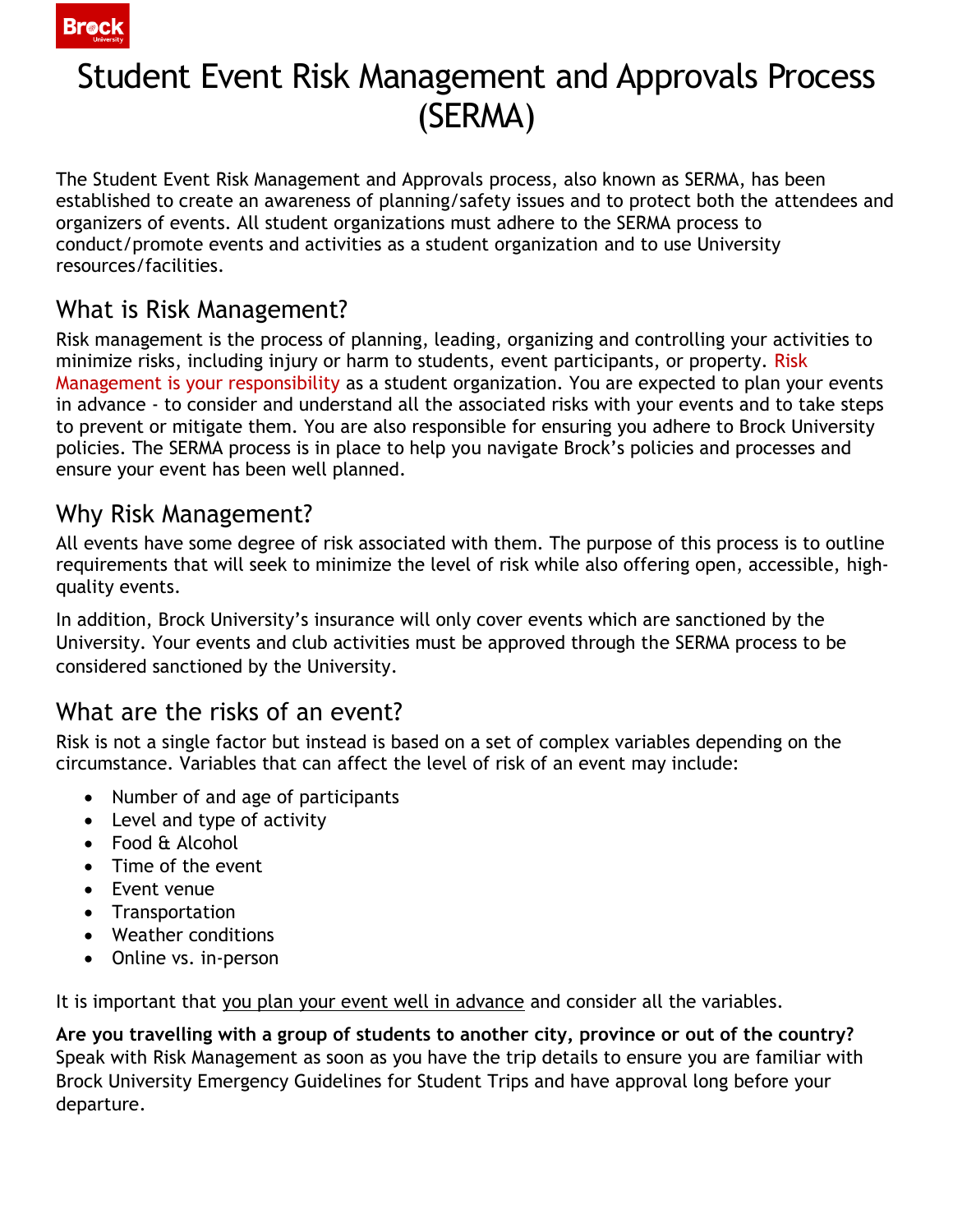

# Student Event Risk Management and Approvals Process (SERMA)

The Student Event Risk Management and Approvals process, also known as SERMA, has been established to create an awareness of planning/safety issues and to protect both the attendees and organizers of events. All student organizations must adhere to the SERMA process to conduct/promote events and activities as a student organization and to use University resources/facilities.

#### What is Risk Management?

Risk management is the process of planning, leading, organizing and controlling your activities to minimize risks, including injury or harm to students, event participants, or property. Risk Management is your responsibility as a student organization. You are expected to plan your events in advance - to consider and understand all the associated risks with your events and to take steps to prevent or mitigate them. You are also responsible for ensuring you adhere to Brock University policies. The SERMA process is in place to help you navigate Brock's policies and processes and ensure your event has been well planned.

#### Why Risk Management?

All events have some degree of risk associated with them. The purpose of this process is to outline requirements that will seek to minimize the level of risk while also offering open, accessible, highquality events.

In addition, Brock University's insurance will only cover events which are sanctioned by the University. Your events and club activities must be approved through the SERMA process to be considered sanctioned by the University.

#### What are the risks of an event?

Risk is not a single factor but instead is based on a set of complex variables depending on the circumstance. Variables that can affect the level of risk of an event may include:

- Number of and age of participants
- Level and type of activity
- Food & Alcohol
- Time of the event
- Event venue
- Transportation
- Weather conditions
- Online vs. in-person

It is important that you plan your event well in advance and consider all the variables.

**Are you travelling with a group of students to another city, province or out of the country?**  Speak with Risk Management as soon as you have the trip details to ensure you are familiar with Brock University Emergency Guidelines for Student Trips and have approval long before your departure.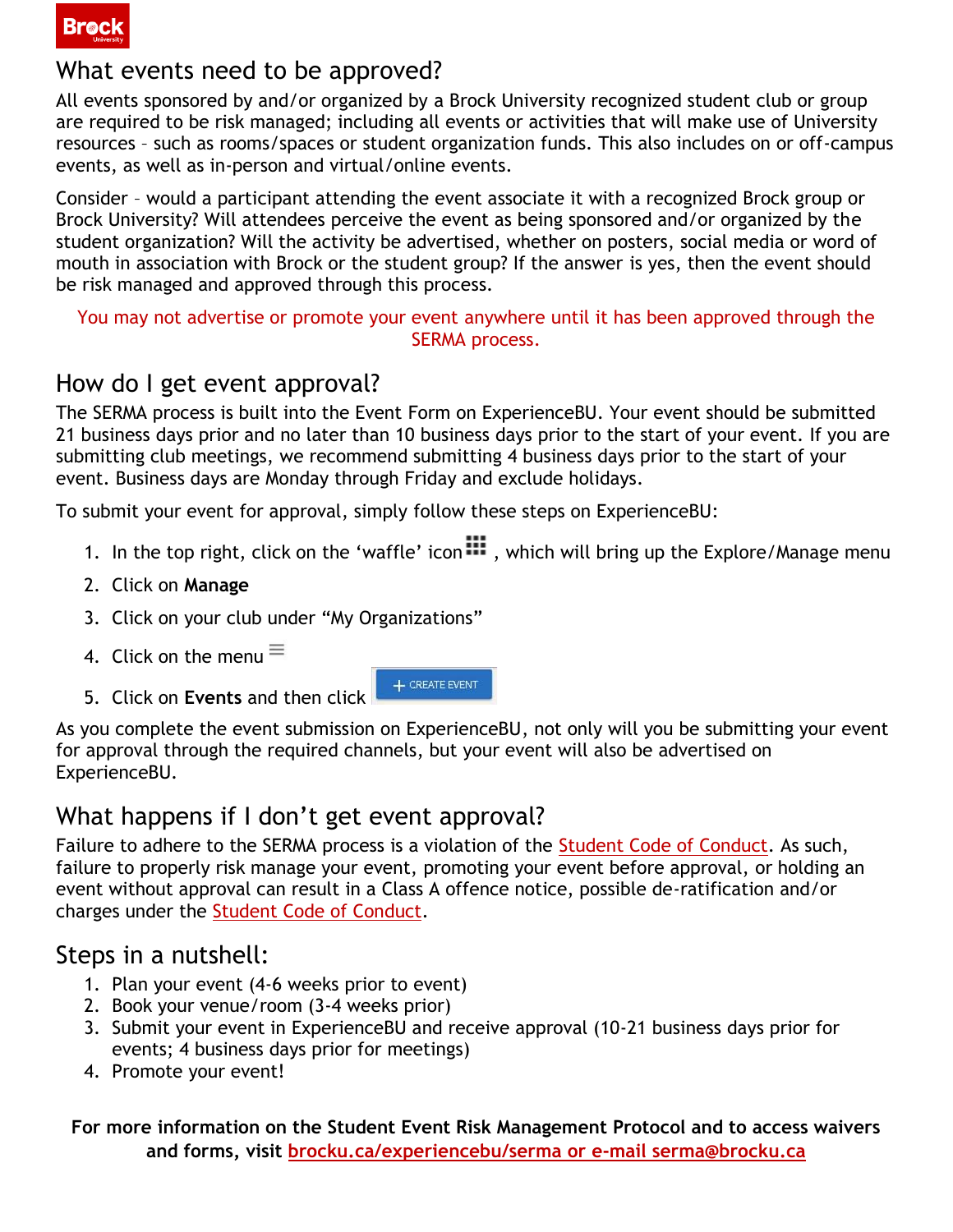

#### What events need to be approved?

All events sponsored by and/or organized by a Brock University recognized student club or group are required to be risk managed; including all events or activities that will make use of University resources – such as rooms/spaces or student organization funds. This also includes on or off-campus events, as well as in-person and virtual/online events.

Consider – would a participant attending the event associate it with a recognized Brock group or Brock University? Will attendees perceive the event as being sponsored and/or organized by the student organization? Will the activity be advertised, whether on posters, social media or word of mouth in association with Brock or the student group? If the answer is yes, then the event should be risk managed and approved through this process.

You may not advertise or promote your event anywhere until it has been approved through the SERMA process.

#### How do I get event approval?

The SERMA process is built into the Event Form on ExperienceBU. Your event should be submitted 21 business days prior and no later than 10 business days prior to the start of your event. If you are submitting club meetings, we recommend submitting 4 business days prior to the start of your event. Business days are Monday through Friday and exclude holidays.

To submit your event for approval, simply follow these steps on ExperienceBU:

- 1. In the top right, click on the 'waffle' icon  $\mathbb{H}$ , which will bring up the Explore/Manage menu
- 2. Click on **Manage**
- 3. Click on your club under "My Organizations"
- 4. Click on the menu $\equiv$
- 5. Click on **Events** and then click

As you complete the event submission on ExperienceBU, not only will you be submitting your event for approval through the required channels, but your event will also be advertised on ExperienceBU.

+ CREATE EVENT

#### What happens if I don't get event approval?

Failure to adhere to the SERMA process is a violation of the [Student Code of Conduct.](https://brocku.ca/student-life-success/wp-content/uploads/sites/220/Student-Affairs-Main-Code-of-Conduct.pdf) As such, failure to properly risk manage your event, promoting your event before approval, or holding an event without approval can result in a Class A offence notice, possible de-ratification and/or charges under the [Student Code of Conduct.](https://brocku.ca/student-life-success/wp-content/uploads/sites/220/Student-Affairs-Main-Code-of-Conduct.pdf)

#### Steps in a nutshell:

- 1. Plan your event (4-6 weeks prior to event)
- 2. Book your venue/room (3-4 weeks prior)
- 3. Submit your event in ExperienceBU and receive approval (10-21 business days prior for events; 4 business days prior for meetings)
- 4. Promote your event!

**For more information on the Student Event Risk Management Protocol and to access waivers and forms, visit brocku.ca/experiencebu/serma or e-mail serma@brocku.ca**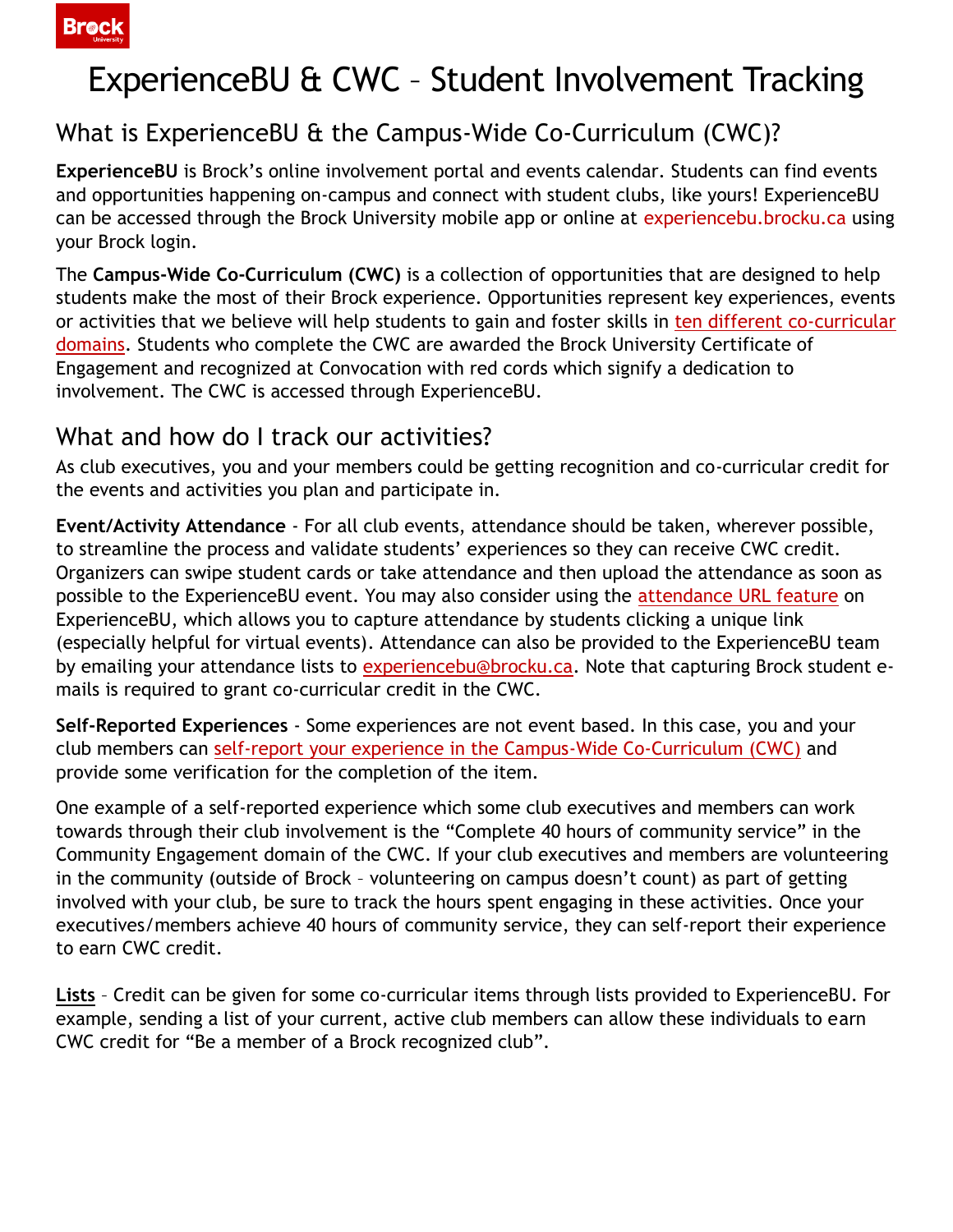

# ExperienceBU & CWC – Student Involvement Tracking

### What is ExperienceBU & the Campus-Wide Co-Curriculum (CWC)?

**ExperienceBU** is Brock's online involvement portal and events calendar. Students can find events and opportunities happening on-campus and connect with student clubs, like yours! ExperienceBU can be accessed through the Brock University mobile app or online at experiencebu.brocku.ca using your Brock login.

The **Campus-Wide Co-Curriculum (CWC)** is a collection of opportunities that are designed to help students make the most of their Brock experience. Opportunities represent key experiences, events or activities that we believe will help students to gain and foster skills in [ten different co-curricular](https://brocku.ca/experiencebu/co-curriculum/domains)  [domains.](https://brocku.ca/experiencebu/co-curriculum/domains) Students who complete the CWC are awarded the Brock University Certificate of Engagement and recognized at Convocation with red cords which signify a dedication to involvement. The CWC is accessed through ExperienceBU.

#### What and how do I track our activities?

As club executives, you and your members could be getting recognition and co-curricular credit for the events and activities you plan and participate in.

**Event/Activity Attendance** - For all club events, attendance should be taken, wherever possible, to streamline the process and validate students' experiences so they can receive CWC credit. Organizers can swipe student cards or take attendance and then upload the attendance as soon as possible to the ExperienceBU event. You may also consider using the [attendance URL feature](https://www.youtube.com/watch?v=0pPGOiMMwPU&list=PL5e0WWR1kdulFsMsfMSwJIA77eUO5kOOr&index=15) on ExperienceBU, which allows you to capture attendance by students clicking a unique link (especially helpful for virtual events). Attendance can also be provided to the ExperienceBU team by emailing your attendance lists to [experiencebu@brocku.ca.](mailto:experiencebu@brocku.ca) Note that capturing Brock student emails is required to grant co-curricular credit in the CWC.

**Self-Reported Experiences** - Some experiences are not event based. In this case, you and your club members can [self-report your experience in the Campus-Wide Co-Curriculum \(CWC\)](https://www.youtube.com/watch?v=We_19-Dxw8U) and provide some verification for the completion of the item.

One example of a self-reported experience which some club executives and members can work towards through their club involvement is the "Complete 40 hours of community service" in the Community Engagement domain of the CWC. If your club executives and members are volunteering in the community (outside of Brock – volunteering on campus doesn't count) as part of getting involved with your club, be sure to track the hours spent engaging in these activities. Once your executives/members achieve 40 hours of community service, they can self-report their experience to earn CWC credit.

**Lists** – Credit can be given for some co-curricular items through lists provided to ExperienceBU. For example, sending a list of your current, active club members can allow these individuals to earn CWC credit for "Be a member of a Brock recognized club".